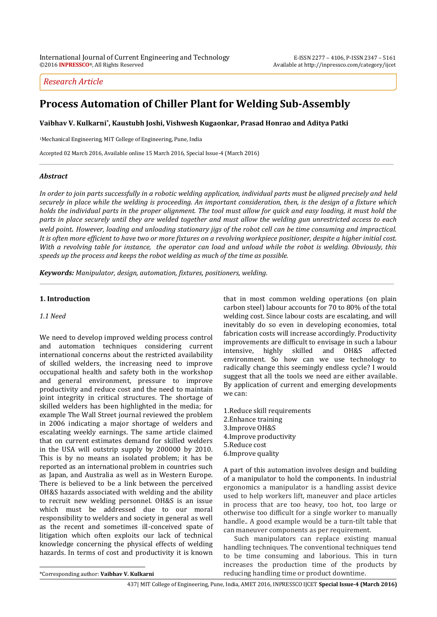# *Research Article*

# **Process Automation of Chiller Plant for Welding Sub-Assembly**

**Vaibhav V. Kulkarni\* , Kaustubh Joshi, Vishwesh Kugaonkar, Prasad Honrao and Aditya Patki**

<sup>1</sup>Mechanical Engineering, MIT College of Engineering, Pune, India

Accepted 02 March 2016, Available online 15 March 2016, Special Issue-4 (March 2016)

## *Abstract*

*In order to join parts successfully in a robotic welding application, individual parts must be aligned precisely and held securely in place while the welding is proceeding. An important consideration, then, is the design of a fixture which holds the individual parts in the proper alignment. The tool must allow for quick and easy loading, it must hold the parts in place securely until they are welded together and must allow the welding gun unrestricted access to each weld point*. *However, loading and unloading stationary jigs of the robot cell can be time consuming and impractical. It is often more efficient to have two or more fixtures on a revolving workpiece positioner, despite a higher initial cost. With a revolving table for instance, the operator can load and unload while the robot is welding. Obviously, this speeds up the process and keeps the robot welding as much of the time as possible.*

*Keywords: Manipulator, design, automation, fixtures, positioners, welding.*

### **1. Introduction**

#### *1.1 Need*

We need to develop improved welding process control and automation techniques considering current international concerns about the restricted availability of skilled welders, the increasing need to improve occupational health and safety both in the workshop and general environment, pressure to improve productivity and reduce cost and the need to maintain joint integrity in critical structures. The shortage of skilled welders has been highlighted in the media; for example The Wall Street journal reviewed the problem in 2006 indicating a major shortage of welders and escalating weekly earnings. The same article claimed that on current estimates demand for skilled welders in the USA will outstrip supply by 200000 by 2010. This is by no means an isolated problem; it has be reported as an international problem in countries such as Japan, and Australia as well as in Western Europe. There is believed to be a link between the perceived OH&S hazards associated with welding and the ability to recruit new welding personnel. OH&S is an issue which must be addressed due to our moral responsibility to welders and society in general as well as the recent and sometimes ill-conceived spate of litigation which often exploits our lack of technical knowledge concerning the physical effects of welding hazards. In terms of cost and productivity it is known

that in most common welding operations (on plain carbon steel) labour accounts for 70 to 80% of the total welding cost. Since labour costs are escalating, and will inevitably do so even in developing economies, total fabrication costs will increase accordingly. Productivity improvements are difficult to envisage in such a labour intensive, highly skilled and OH&S affected environment. So how can we use technology to radically change this seemingly endless cycle? I would suggest that all the tools we need are either available. By application of current and emerging developments we can:

1.Reduce skill requirements 2.Enhance training 3.Improve OH&S 4.Improve productivity 5.Reduce cost 6.Improve quality

A part of this automation involves design and building of a manipulator to hold the components. In industrial ergonomics a manipulator is a handling assist device used to help workers lift, maneuver and place articles in process that are too heavy, too hot, too large or otherwise too difficult for a single worker to manually handle.. A good example would be a turn-tilt table that can maneuver components as per requirement.

Such manipulators can replace existing manual handling techniques. The conventional techniques tend to be time consuming and laborious. This in turn increases the production time of the products by reducing handling time or product downtime.

 $\overline{a}$ \*Corresponding author: **Vaibhav V. Kulkarni**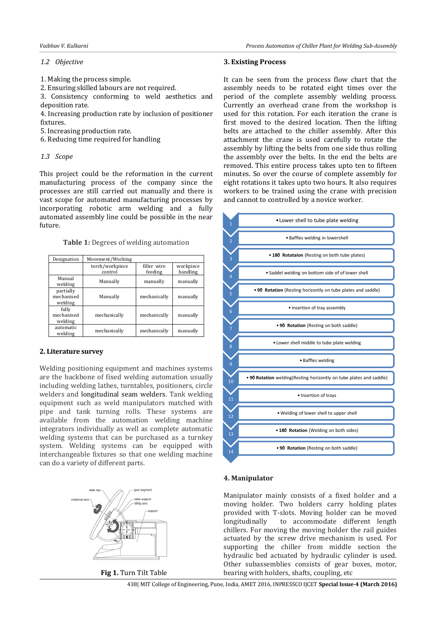# *1.2 Objective*

- 1. Making the process simple.
- 2. Ensuring skilled labours are not required.

3. Consistency conforming to weld aesthetics and deposition rate.

4. Increasing production rate by inclusion of positioner fixtures.

- 5. Increasing production rate.
- 6. Reducing time required for handling

## *1.3 Scope*

This project could be the reformation in the current manufacturing process of the company since the processes are still carried out manually and there is vast scope for automated manufacturing processes by incorporating robotic arm welding and a fully automated assembly line could be possible in the near future.

**Table 1:** Degrees of welding automation

| Designation                        | Movement/Working           |                        |                       |
|------------------------------------|----------------------------|------------------------|-----------------------|
|                                    | torch/workpiece<br>control | filler wire<br>feeding | workpiece<br>handling |
| Manual<br>welding                  | Manually                   | manually               | manually              |
| partially<br>mechanised<br>welding | Manually                   | mechanically           | manually              |
| fully<br>mechanised<br>welding     | mechanically               | mechanically           | manually              |
| automatic<br>welding               | mechanically               | mechanically           | manually              |

# **2. Literature survey**

Welding positioning equipment and machines systems are the backbone of fixed welding automation usually including welding lathes, turntables, positioners, circle welders and [longitudinal seam welders.](http://www.weldplus.com/seamers.asp) Tank welding equipment such as weld manipulators matched with pipe and tank turning rolls. These systems are available from the automation welding machine integrators individually as well as complete automatic welding systems that can be purchased as a turnkey system. Welding systems can be equipped with interchangeable fixtures so that one welding machine can do a variety of different parts.



**Fig 1.** Turn Tilt Table

#### *Vaibhav V. Kulkarni Process Automation of Chiller Plant for Welding Sub-Assembly*

### **3. Existing Process**

It can be seen from the process flow chart that the assembly needs to be rotated eight times over the period of the complete assembly welding process. Currently an overhead crane from the workshop is used for this rotation. For each iteration the crane is first moved to the desired location. Then the lifting belts are attached to the chiller assembly. After this attachment the crane is used carefully to rotate the assembly by lifting the belts from one side thus rolling the assembly over the belts. In the end the belts are removed. This entire process takes upto ten to fifteen minutes. So over the course of complete assembly for eight rotations it takes upto two hours. It also requires workers to be trained using the crane with precision and cannot to controlled by a novice worker.



## **4. Manipulator**

Manipulator mainly consists of a fixed holder and a moving holder. Two holders carry holding plates provided with T-slots. Moving holder can be moved longitudinally to accommodate different length chillers. For moving the moving holder the rail guides actuated by the screw drive mechanism is used. For supporting the chiller from middle section the hydraulic bed actuated by hydraulic cylinder is used. Other subassemblies consists of gear boxes, motor, bearing with holders, shafts, coupling, etc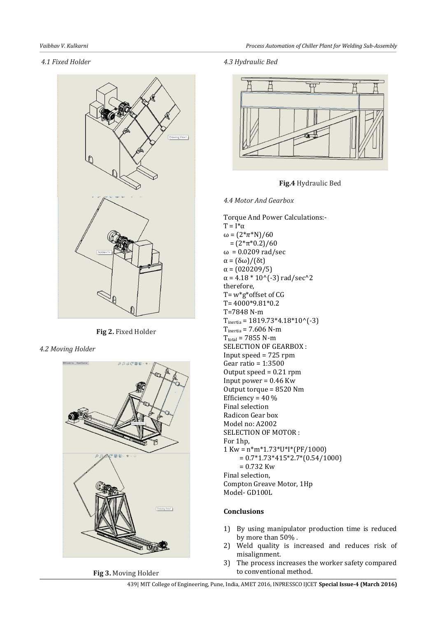# *4.1 Fixed Holder*



**Fig 2.** Fixed Holder

*4.2 Moving Holder*



**Fig 3.** Moving Holder

*4.3 Hydraulic Bed*



**Fig.4** Hydraulic Bed

*4.4 Motor And Gearbox*

Torque And Power Calculations:-  $T = I^* \alpha$ ω =  $(2 * π * N)/60$  $=(2*\pi*0.2)/60$ ω = 0.0209 rad/sec α = (δω)/(δt)  $α = (020209/5)$  $\alpha$  = 4.18  $*$  10^(-3) rad/sec^2 therefore, T= w\*g\*offset of CG T= 4000\*9.81\*0.2 T=7848 N-m  $T_{inertia} = 1819.73*4.18*10^(-3)$  $T<sub>inertia</sub> = 7.606$  N-m  $T_{total}$  = 7855 N-m SELECTION OF GEARBOX : Input speed = 725 rpm Gear ratio = 1:3500 Output speed = 0.21 rpm Input power = 0.46 Kw Output torque = 8520 Nm Efficiency =  $40\%$ Final selection Radicon Gear box Model no: A2002 SELECTION OF MOTOR : For 1hp,  $1$  Kw =  $n*m*1.73*U*I*(PF/1000)$  $= 0.7*1.73*415*2.7*(0.54/1000)$  $= 0.732$  Kw Final selection, Compton Greave Motor, 1Hp Model- GD100L

# **Conclusions**

- 1) By using manipulator production time is reduced by more than 50% .
- 2) Weld quality is increased and reduces risk of misalignment.
- 3) The process increases the worker safety compared to conventional method.